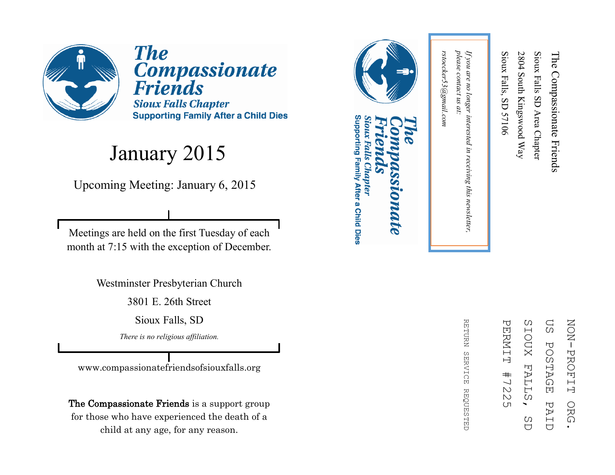

**The** Compassionate<br>Friends **Sioux Falls Chapter Supporting Family After a Child Dies** 

#### January 2015

Upcoming Meeting: January 6, 2015

Meetings are held on the first Tuesday of each month at 7:15 with the exception of December.

Westminster Presbyterian Church

3801 E. 26th Street

Sioux Falls, SD

*There is no religious affiliation.*

www.compassionatefriendsofsiouxfalls.org

The Compassionate Friends is a support group for those who have experienced the death of a child at any age, for any reason.



### Supporting Family After a Child Dies Sioux Falls Chapter **DIDATE**

ΩS SIOUX **NON-PROFIT** ZOZI PROFIT ORG. PERNIT PERMIT #7225 SIOUX FALLS, SD US POSTAGE PAID**POSTAGE FALL**  $#$  $\frac{1}{2}$  $\mathbbmss{N}$ Ω PAI ORG  $\overline{(\Pi)}$ C)  $\overline{C}$  $\bigcup$ 

**RETDRN** REFURN SERVICE REQUESTED **SERVICE REQUESTED** 

please contact us at: *please contact us at:*  rstoecker53@gmail.com *rstoecker53@gmail.com*

*If you are no longer interested in receiving this newsletter,* 

in receiving this newsletter,

If you are no longer interested

Sioux Falls, SD 57106

Sioux Falls, SD 57106

2804 South Kingswood Way

2804 South Kingswood Way

Sioux Falls SD Area Chapter

Sioux Falls SD Area Chapter

The Compassionate Friends

The Compassionate Friends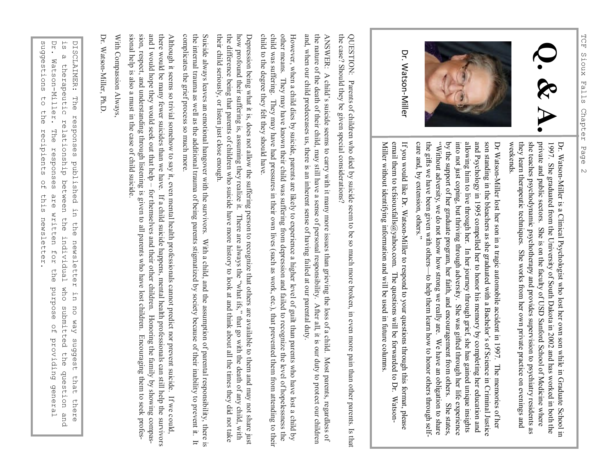



Dr. Watson-Miller

> Dr. WatsonDr. Watson-Miller is a Clinical Psychologist who lost her own son while in Graduate School in Miller is a Clinical Psychologist who lost her own son while in Graduate School in weekends. they learn therapeutic techniques. She works from her own private practice on evenings and she teaches psychodynamic psychotherapy and provides supervision to psychiatry residents as private and public sectors. She is on the faculty of USD Sanford School of Medicine where 1997. She graduated from the University of South Dakota in 2002 and has worked in both the private and public sectors. She is on the faculty of USD Sanford School of Medicine where she traches psychodynamic psychotherapy a

and Psychology in 1995 compelled her to honor his memory by completing her education and allowing him to live through her. In her journey through grief, she has gained unique insights into not just coping, but thriving th son standing in the bleachers as she graduated with a Bachelor's of Science in Criminal Justice by the support of her graduate program, her faith, and encouragement from others. She states, the gifts we have been given with others "Without adversity, we do not know how strong we really are. We have an obligation to share into not just coping, but thriving through adversity. She was gifted through her life experience allowing him to live through her. In her journey through grief, she has gained unique insights son standing in the bleachers as she graduated with a Bachelor's of Science in Criminal Justice Dr Watson

Miller without identifying information and will be used in future columns. email them to tcfsiouxfalls@yahoo.com. The questions will be forwarded to Dr. Watson-If you would like Dr. Watson-Miller to respond to your questions through this format, please entan uteun to terstouration@yantor.com. The questions with the tot wature to total warsour<br>Miller without identifying information and will be used in future columns. email them to tcfsiouxfalls@yahoo.com. The questions will be forwarded to Dr. WatsonIf you would like Dr. WatsonMiller to respond to your questions through this format, please

the case? Should they be given special considerations? the case? Should they be given special considerations? QUESTION: Parents of children who died by suicide seem to be so much more broken, in even more pain than other parents. Is that QUESTION: Parents of children who died by suicide seem to be so much more broken, in even more pain than other parents. Is that

and, when our child predeceases us, there is an inherent sense of having failed at our parental duty, the nature of the death of their child, may still have a sense of personal responsibility. After all, it is our duty to protect our children the nature of the death of their child, may still have a sense of personal responsibility. After all, it is our duty to protect ANSWER: A child's suicide seems to carry with it many more issues than grieving the loss of a child. Most parents, regardless of ANSWER: A child and, when our child predeceases us, there is an inherent sense of having failed at our parental duty. 's suicide seems to carry with it many more issues than grieving the loss of a child. Most parents, regardless of our children

other means. They may have known their child was suffering from depression and failed to recognize the level of hopelessness the However, when a child dies by suicide, parents are likely to experience a higher level of guilt than parents who have lost a child by child to the degree they felt they should have. child to the degree they felt they should have. child was suffering. They may have had pressures in their own lives (such as work, etc.), that prevented them from attending other means. They may have known their child was suffering from depression and failed to recognize the level of hopelessness However, when a child dies by suicide, parents are likely to experience a higher level of guilt than parents who have lost a to their

the difference being that parents of children who suicide have more history to look at and think about all the times they did not take their child seriously, or listen just close enough their child seriously, or listen just close enough. the difference being that parents of children who suicide have more history to look at and think about all the times they did how profound their suffering is, assuming they realize it. how profound their suffering is, assuming they realize it. There are always the "what ifs," that go with the death of any child, with Depression being what it is, does not allow the suffering person to recognize that others are available to them and may not share just Depression being what it is, does not allow the suffering person to recognize that others are available to them and may not s There are always the "what ifs," that go with the death of any child, with

the internal trauma as well as the additional trauma of being parents stigmatized by society because of their inability to prevent it. It Suicide always leaves an emotional hangover with the survivors. With a child, and the assumption of parental responsibility, there is complicates the grief process so much more. the internal trauma as well as the additional trauma of being parents stigmatized by society because of their inability to prevent it. It complicates the grief process so much more. Suicide always leaves an emotional hangover with the survivors. With a child, and the assumption of parental responsibility,

sion, respect, and understanding through listening is given to all parents who have lost children. Encouraging them to seek profesand I would hope they would seek out that help - for themselves and their other children. Honoring the family by showing compasthere would be many fewer suicides than we have. If a child suicide happens, mental health professionals can still help the survivors sional help is also a must in the case of child suicide.<br>With Compassion Always,<br>Dr. Watson-Miller, Ph.D. there would be many fewer suicides than we have. If a child suicide happens, mental health professionals can still help the survivors Although it seems so trivial somehow to say it, even mental health professionals cannot predict nor prevent suicide. If we could Although it seems so trivial somehow to say it, even mental health professionals cannot predict nor prevent suicide. If we c sion, respect, and understanding through listening is given to all parents who have lost children. Encouraging them to seek profesand I would hope they would seek out that help – for themselves and their other children. Honoring the family by showing compas-

Dr. suggestions DISCLAIMER: The responses suggestions to the recipients of this newsletter. DISCLAIMER: The responses published in the newsletter in no way suggest that there<br>is a therapeutic relationship between the individual who submitted the question and<br>Dr. Watson-Miller. The responses are written for the pu Dr. Watson is a therapeutic relationship between the individual who submitted the question and ່ທ  $\alpha$ Watson-Miller. therapeutic relationship between the individual  $\begin{array}{c}\n\uparrow \\
\downarrow\n\end{array}$ the recipients The responses published in the newsletter in  $\frac{0}{10}$ this are written for newsletter. the who submitted the question and purpose no way suggest that there  $\frac{0}{1}$ providing general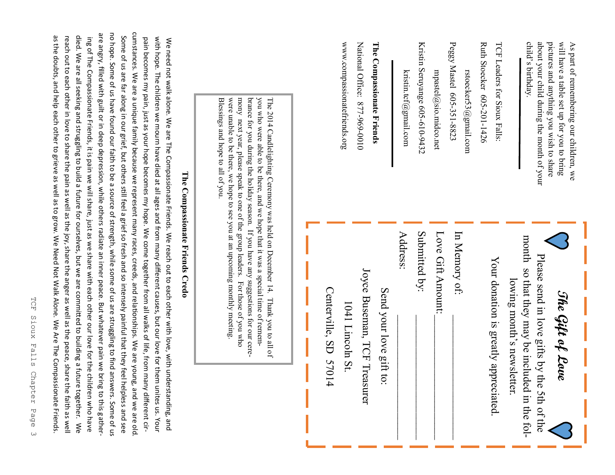| Some of us are far along in our grief, but others still feel a grief so fresh and so intensely painful that they fee                                                                                                                                                                                                                                                                                                                                                                                                                                                                                                                                                           |                                 | were unable to be there, we hope to see you at an upcoming monthly meeting<br>mony next year, please speak to one of the group leaders. For those of you who<br>you who were able to be there, and we hope that it was a special time of remem-<br>Blessings and hope to all of you. |                                                  | www.compassionatefriends.org | National Office: 877-969-0010 | The Compassionate Friends | kristin.tcf@gmail.com | Kristin Seruyange 605-610-9432 | $m$ pastel $@$ sio.midco.net | Peggy Mastel 605-351-8823<br>rstoecker53@gmail.com | Ruth Stoecker 605-201-1426 | TCF Leaders for Sioux Falls:         |                                                                              | child's birthday.<br>about your child during the month of your | pictures and anything you wish to share<br>will have a table set up for you to bring<br>As part of remembering our children, we |  |
|--------------------------------------------------------------------------------------------------------------------------------------------------------------------------------------------------------------------------------------------------------------------------------------------------------------------------------------------------------------------------------------------------------------------------------------------------------------------------------------------------------------------------------------------------------------------------------------------------------------------------------------------------------------------------------|---------------------------------|--------------------------------------------------------------------------------------------------------------------------------------------------------------------------------------------------------------------------------------------------------------------------------------|--------------------------------------------------|------------------------------|-------------------------------|---------------------------|-----------------------|--------------------------------|------------------------------|----------------------------------------------------|----------------------------|--------------------------------------|------------------------------------------------------------------------------|----------------------------------------------------------------|---------------------------------------------------------------------------------------------------------------------------------|--|
| cumstances. We are a unique family because we represent many races, creeds, and relationships. We are young, and we are old<br>no hope. Some of us have found our faith to be a source of strength, while some of us are struggling to find answers. Some of us<br>pain becomes my pain, just as your hope becomes my hope. We come together from all walks of life, from many different cir-<br>with hope. The children we mourn have died at all ages and from many different causes, but our love for them unites us. Your<br>We need not walk alone. We are The Compassionate Friends. We reach out to each other with love, with understanding, and<br>I helpless and see | The Compassionate Friends Credo | brance for you during the holiday season. If you have any suggestions for our cere-<br>The 2014 Candlelighting Ceremony was held on December 14. Thank you to all of                                                                                                                 | Centerville, SD 570:<br>$\overline{\mathcal{A}}$ | 1041 Lincoln St.             | Joyce Buseman, TCF Treasurer  | Send your love gift to:   | Address:              | Submitted by:                  | Love Gift Amount:            | In Memory of:                                      |                            | Your donation is greatly appreciated | month so that they may be included in the fol-<br>lowing month's newsletter. | Please send in love gifts by the 5th of the                    | The Gift of Love                                                                                                                |  |

are angry, filled with guilt or in deep depression, while others radiate an inner peace. But whatever pain we bring to this gathering Of The Compassionate Friends, it is pain we will share, just as we share with each other our love for the children who have  $\kappa$ died. We are all seeking and struggling to build a future for ourselves, but we are committed to building a future together. died. We are all seeking and struggling to build a future for ourselves, but we are committed to building a future together. We reach out to each other in love to share the pain as well as the joy, share the anger as well as the peace, share the faith as well as the doubts, and help each other to grieve as well as to grow. We Need Not Walk Alone. We Are The Compassionate Friends.

are angry, filled with guilt or in deep depression, while others radiate an inner peace. But whatever pain we bring to this gather-

ing of The Compassionate Friends, it is pain we will share, just as we share with each other our love for the children who have

as the doubts, and help each other to grieve as well as to grow. We Need Not Walk Alone. We Are The Compassionate Friends. reach out to each other in love to share the pain as well as the joy, share the anger as well as the peace, share the faith as well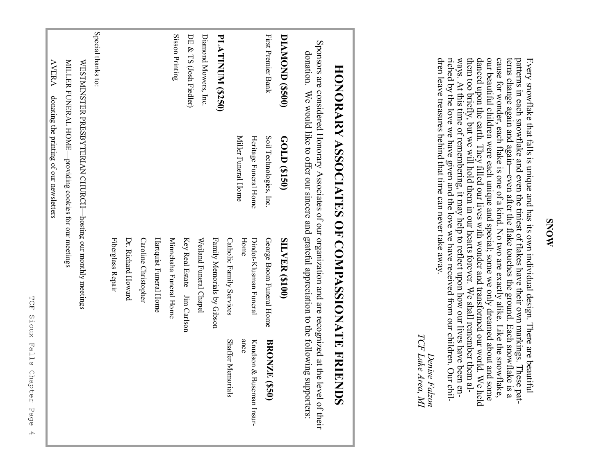dren leave treasures behind that time can never take away. riched by the love we have given and the love we have received from our children. Our chilways. At this time of remembering, it may help to reflect upon how our lives have been enthem too briefly, but we will hold them in our hearts forever. We shall remember them aldanced upon the earth. They filled our lives with wonder and transformed our world. We held our beautiful children were each unique and special; some we only dreamed about and some cause for wonder, each flake is one of a kind. No two are exactly alike. Like the snowflake, terns change again and again-Every snowflake that falls is unique and has its own individual design. There are beautiful<br>patterns in each snowflake and even the tiniest of flakes have their own markings. These patdren leave treasures behind that time can never take away. riched by the love we have given and the love we have received from our children. Our chilways. At this time of remembering, it may help to reflect upon how our lives have been enthem too briefly, but we will hold them in our hearts forever. We shall remember them aldanced upon the earth. They filled our lives with wonder and transformed our world. We held our beautiful children were each unique and special; some we only dreamed about and some cause for wonder, each flake is one of a kind. No two are exactly alike. Like the snowflake, terns change again and again Every snowflake that falls is unique and has its own individual design. There are beautiful patterns in each snowflake and even the tiniest of flakes have their own markings. These pat<br>the ground is a ground. Each snowflak patterns in each snowflake and even the tiniest of flakes have their own markings. These pat--even after the flake touches the ground. Each snowflake is a

TCF Lake Area, MI *TCF Lake Area, MI Denise Falzon* Denise Falzon

# HONORARY ASSOCIATES OF COMPASSIONATE FRIENDS **HONORARY ASSOCIATES OF COMPASSIONATE FRIENDS**

Sponsors are considered Honorary Associates of our organization and are recognized at the level of their Sponsors are considered Honorary Associates of our organization and are recognized at the level of their donation. donation. We would like to offer our sincere and grateful appreciation to the following supporters: We would like to offer our sixtend and grateful approciation to the community of the community of the community of the community of the community of the community of the community of the community of the community of the c

|                         |                                                              | d<br>ر<br>ابر<br>ابر        | þ                           |
|-------------------------|--------------------------------------------------------------|-----------------------------|-----------------------------|
| DIAMOND (\$500)         | GOLD (\$150)                                                 | <b>SILVER (\$100)</b>       |                             |
| First Premier Bank      | Soil Technologies, Inc.                                      | George Boom Funeral Home    | <b>BRONZE</b><br>(058)      |
|                         | Heritage Funeral Home                                        | Dindot-Klusman Funeral      | Knudson &<br>Buseman Insur- |
|                         | Miller Funeral Home                                          | Home                        | ance                        |
|                         |                                                              | Catholic Family Services    | <b>Shaffer Memorials</b>    |
| <b>PLATINUM (\$250)</b> |                                                              | Family Memorials by Gibson  |                             |
| Diamond Mowers, Inc.    |                                                              | Weiland Funeral Chapel      |                             |
| DE & TS (Josh Fiedler)  |                                                              | Key Real Estate—Jim Carlson |                             |
| Sisson Printing         |                                                              | Minnehaha Funeral Home      |                             |
|                         |                                                              | Hartquist Funeral Home      |                             |
|                         |                                                              | Caroline Christopher        |                             |
|                         |                                                              | Dr. Richard Howard          |                             |
|                         |                                                              | Fiberglass Repair           |                             |
| Special thanks to:      |                                                              |                             |                             |
|                         | WESTMINSTER PRESBYTERIAN CHURCH-hosting our monthly meetings |                             |                             |
|                         | MILLER FUNERAL HOME-providing cookies for our meetings       |                             |                             |

AVERA —donating the printing of our newsletters

 $\text{AVERA}$  —donating the printing of our newsletters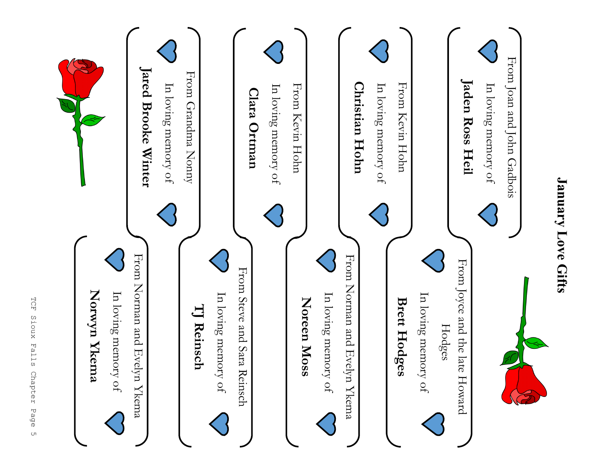

**January Love Gifts**

**January Love Gifts**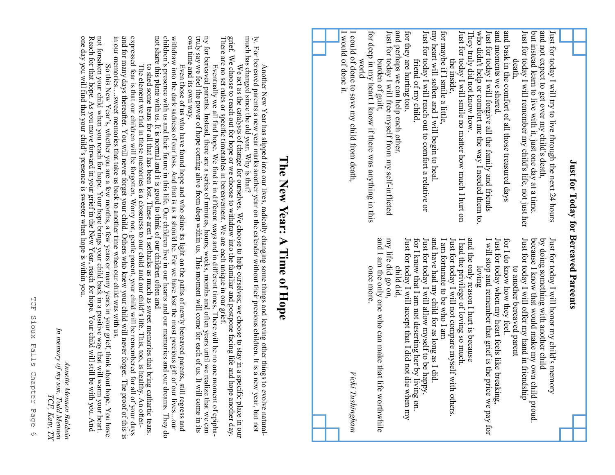| Just for Today for Bereaved Pareents                                                                                                                                                                                                                                                                                                                                                                                                                                                                                                                                                                                                                                                                                                                                                                                                                                                                                                                          |                                                                                                                                                                                                                                                                                                                                                                                                                                                                                                                                                                                                                                                                                                                                                                                                                                                                                                                              |
|---------------------------------------------------------------------------------------------------------------------------------------------------------------------------------------------------------------------------------------------------------------------------------------------------------------------------------------------------------------------------------------------------------------------------------------------------------------------------------------------------------------------------------------------------------------------------------------------------------------------------------------------------------------------------------------------------------------------------------------------------------------------------------------------------------------------------------------------------------------------------------------------------------------------------------------------------------------|------------------------------------------------------------------------------------------------------------------------------------------------------------------------------------------------------------------------------------------------------------------------------------------------------------------------------------------------------------------------------------------------------------------------------------------------------------------------------------------------------------------------------------------------------------------------------------------------------------------------------------------------------------------------------------------------------------------------------------------------------------------------------------------------------------------------------------------------------------------------------------------------------------------------------|
| and moments we shared.<br>Just for today I will free myself from my self-inflicted<br>Just for today I will reach out to comfort a relative or<br>my heart will soften and I will begin to heal.<br>Just for today I will smile no matter how much I hurt on<br>who didn't help or comfort me the way I needed them to.<br>Just for today I will forgive all the family and friends<br>and bask in the comfort of all those treasured days<br>and not expect to get over my child's death,<br>and perhaps we can help each other.<br>for they are hurting too,<br>for maybe if I smile a little,<br>Just for today I will remember my child's life, not just her<br>but instead learn to live with it, just one day at a time<br>Just for today I will try to live through the next 24 hours<br>for deep in my heart I know if there was anything in this<br>They truly did not know how.<br>death,<br>the inside,<br>friend of my child,<br>burden of guilt, | and I am the only one who can make that<br>Just for today I will accept that I did not<br>Just for today I will allow myself to be happy,<br>and have had my child for as long as I did.<br>I am fortunate to be who I am<br>Just for today when my heart feels like breaking,<br>for I do know how they feel.<br>Just for today I will offer my hand in friendship<br>because I know that would make my own child proud.<br>by doing something with another child<br>Just for today I will honor my child's memory<br>my life did go on,<br>for I know that I am not deserting her by<br>Just for today I will not compare myself<br>I had the privilege of loving so much.<br>and the only reason I hurt is because<br>I will stop and remember that grief is the<br>loving<br>child did,<br>to another bereaved parent<br>once more<br>with others.<br>t life worthwhile<br>die when my<br>living on.<br>price we pay for |
| I could of done to save my child from death,<br>I would of done it.<br>world                                                                                                                                                                                                                                                                                                                                                                                                                                                                                                                                                                                                                                                                                                                                                                                                                                                                                  | Vicki Tushingham                                                                                                                                                                                                                                                                                                                                                                                                                                                                                                                                                                                                                                                                                                                                                                                                                                                                                                             |
|                                                                                                                                                                                                                                                                                                                                                                                                                                                                                                                                                                                                                                                                                                                                                                                                                                                                                                                                                               | The New Year: A Time of Hope                                                                                                                                                                                                                                                                                                                                                                                                                                                                                                                                                                                                                                                                                                                                                                                                                                                                                                 |
| own time and its own way.<br>ly. For bereaved parents a new year marks another year on the calendar without their precious children. It is a<br>much has changed since the old year. Why is that?<br>Another New Year has slipped into our lives, radically changing some things and leaving other thing                                                                                                                                                                                                                                                                                                                                                                                                                                                                                                                                                                                                                                                      | withdraw into the dark sadness of our loss. And that is as it should be. For we have lost the most precious gift of our livesour<br>children's presence with us and their future in this life. Our children live in our hearts<br>ny for bereaved parents. Instead, there are a series of minutes, hours, weeks, months and often years until we realize that we can<br>truly say we feel the power of hope coming alive from deep within us. This moment will come<br>We act as the catalysts of change for ourselves. We choose to help ourselves; we choose to stay in a specific place in our grief. We choose to reach out for hope or we choose to withdraw into the familiar and postpone fac<br>Even those of us who have found hope and who shine its light on the paths of newly bereaved parents, still regress and<br>new year, but not<br>s to evolve natural-                                                  |
| not share this plane with us. It is normal and it is good to think of our children often and<br>in our memories sweet memories that take us back to another time when our child was with us.                                                                                                                                                                                                                                                                                                                                                                                                                                                                                                                                                                                                                                                                                                                                                                  | The element we find in these memories is a closeness to our child and our child's life. This, too, is healthy. An often-<br>expressed fear is that our children will be forgotten. Worry not, gentle parent, your child will be<br>to shed some tears for all that has been lost. These aren't setbacks as much as sweet memories that bring cathartic tears.                                                                                                                                                                                                                                                                                                                                                                                                                                                                                                                                                                |

Annette Mennen Baldwin<br>In memory of my son, Todd Memen<br>TCF, Katy, TX *In memory of my son, Todd Mennen TCF, Katy, TX*

*Annette Mennen Baldwin*

So this New Year's, whether you are a few months, a few years or many years in your grief, think about hope. You have

not forsaken your child when you reach for hope. Your hope brings your child back in a positive way that will warm your heart. Reach for that hope. As you move forward in your grief in the New Year, reach forward in your grief will still be with your  $\mathbf A$ 

So this New Year's, whether you are a few months, a few years or many years in your grief, think about hope. You have not forsaken your child when you reach for hope. Your hope brings your child back in a positive way tha

one day you will find that your child's presence is sweeter when hope is within you.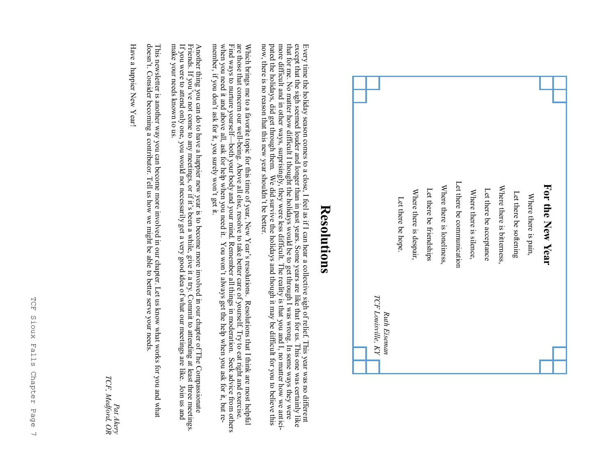

### **Resolutions Resolutions**

that for me. No matter how difficult I thought the holidays would be to get through I was wrong. In some ways they were<br>more difficult and in other ways, surprisingly, they were less difficult. The reality is that you and Every time the holiday season comes to a close, I feel as if I can hear a collective sigh of relief. This year was no different except that the sigh seemed louder and longer than in past years. Some years are like that for pated the holidays, did get through them. We did survive the holidays and though it may be difficult for you to believe this now, there is no reason that this new year shouldn't be better. now, there is no reason that this new year shouldn't be better. more difficult and in other ways, surprisingly, they were less difficult. The reality is that you and I, no matter how we ant that for me. No matter how difficult I thought the holidays would be to get through I was wrong. In some ways they were except that the sigh seemed louder and longer than in past years. Some years are like that for us. This one was certainly like Every time the holiday season comes to a close, I feel as if I can hear a collective sigh of relief. This year was no different

member, if you don't ask for it, you surely won't get it. Which brings me to a favorite topic for this time of year, New Year's resolutions. Resolutions that I think are most helpful are those that concern our well-being. Above all else, resolve to take better care of yourself. member, if you don't ask for it, you surely won't get it. when you need it and above all, ask for help when you need it. You won't always get the help when you ask for it, but re-Find ways to nurture yourself—both your body and your mind. Remember all things in moderation. Seek advice from others are those that concern our wellWhich brings me to a favorite topic for this time of year, New Year's resolutions is resolutions that I think are most helpful being. Above all else, resolve to take better care of yourself. Try to eat right and exercise.

Another thing you can do to have a happier new year is to become more involved in our chapter of The Compassionate<br>Friends. If you've not come to any meetings, or if it's been a while, give it a try. Commit to attending at make your needs known to us. make your needs known to us. If you were to attend only one, you would not necessarily get a very good idea of what our meetings are like. Join us and Friends. If you Another thing you can do to have a happier new year is to become more involved in our chapter of The Compassionate 've not come to any meetings, or if it's been a while, give it a try. Commit to attending at least three meetings.

This newsletter is another way you can become more involved in our chapter. Let us know what works for you and what<br>doesn't. Consider becoming a contributor. Tell us how we might be able to better serve your needs. This newsletter is another way you can become more involved in our chapter. Let us know what works for you and what 't. Consider becoming a contributor. Tell us how we might be able to better serve your needs.

Have a happier New Year! Have a happier New Year!

*Pat Akery*<br>TCF, Medford, OR *TCF, Medford, OR*